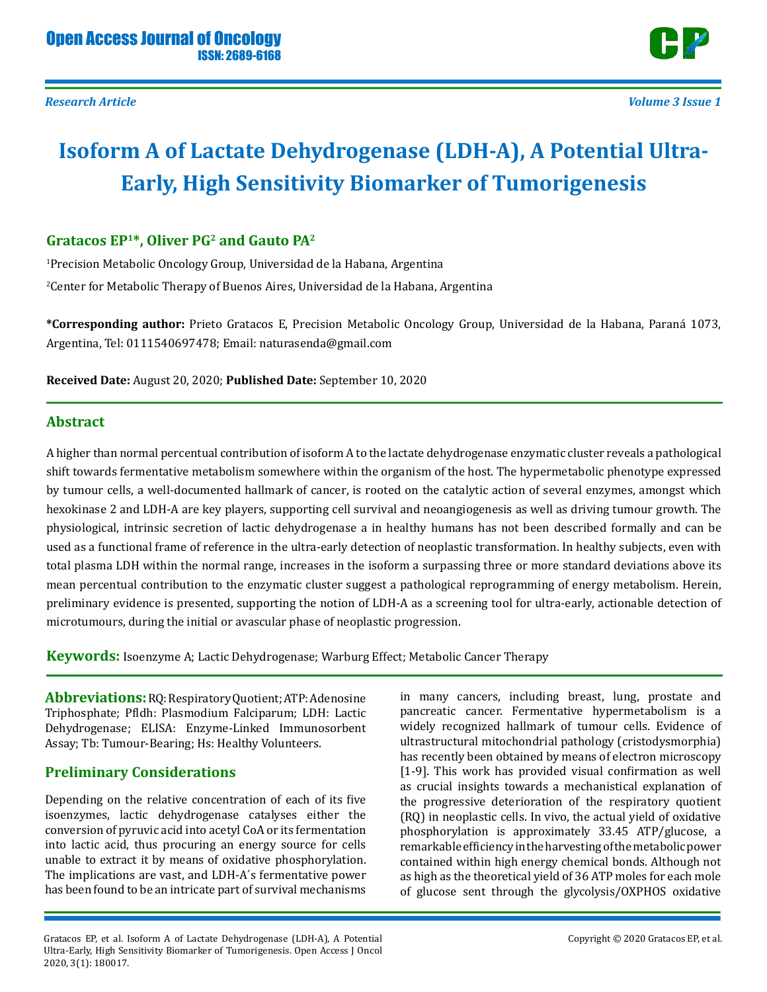

# **Isoform A of Lactate Dehydrogenase (LDH-A), A Potential Ultra-Early, High Sensitivity Biomarker of Tumorigenesis**

### **Gratacos EP1\*, Oliver PG2 and Gauto PA2**

1 Precision Metabolic Oncology Group, Universidad de la Habana, Argentina 2 Center for Metabolic Therapy of Buenos Aires, Universidad de la Habana, Argentina

**\*Corresponding author:** Prieto Gratacos E, Precision Metabolic Oncology Group, Universidad de la Habana, Paraná 1073, Argentina, Tel: 0111540697478; Email: naturasenda@gmail.com

**Received Date:** August 20, 2020; **Published Date:** September 10, 2020

### **Abstract**

A higher than normal percentual contribution of isoform A to the lactate dehydrogenase enzymatic cluster reveals a pathological shift towards fermentative metabolism somewhere within the organism of the host. The hypermetabolic phenotype expressed by tumour cells, a well-documented hallmark of cancer, is rooted on the catalytic action of several enzymes, amongst which hexokinase 2 and LDH-A are key players, supporting cell survival and neoangiogenesis as well as driving tumour growth. The physiological, intrinsic secretion of lactic dehydrogenase a in healthy humans has not been described formally and can be used as a functional frame of reference in the ultra-early detection of neoplastic transformation. In healthy subjects, even with total plasma LDH within the normal range, increases in the isoform a surpassing three or more standard deviations above its mean percentual contribution to the enzymatic cluster suggest a pathological reprogramming of energy metabolism. Herein, preliminary evidence is presented, supporting the notion of LDH-A as a screening tool for ultra-early, actionable detection of microtumours, during the initial or avascular phase of neoplastic progression.

**Keywords:** Isoenzyme A; Lactic Dehydrogenase; Warburg Effect; Metabolic Cancer Therapy

**Abbreviations:** RQ: Respiratory Quotient; ATP: Adenosine Triphosphate; Pfldh: Plasmodium Falciparum; LDH: Lactic Dehydrogenase; ELISA: Enzyme-Linked Immunosorbent Assay; Tb: Tumour-Bearing; Hs: Healthy Volunteers.

### **Preliminary Considerations**

Depending on the relative concentration of each of its five isoenzymes, lactic dehydrogenase catalyses either the conversion of pyruvic acid into acetyl CoA or its fermentation into lactic acid, thus procuring an energy source for cells unable to extract it by means of oxidative phosphorylation. The implications are vast, and LDH-A´s fermentative power has been found to be an intricate part of survival mechanisms

Gratacos EP, et al. Isoform A of Lactate Dehydrogenase (LDH-A), A Potential Ultra-Early, High Sensitivity Biomarker of Tumorigenesis. Open Access J Oncol 2020, 3(1): 180017.

in many cancers, including breast, lung, prostate and pancreatic cancer. Fermentative hypermetabolism is a widely recognized hallmark of tumour cells. Evidence of ultrastructural mitochondrial pathology (cristodysmorphia) has recently been obtained by means of electron microscopy [1-9]. This work has provided visual confirmation as well as crucial insights towards a mechanistical explanation of the progressive deterioration of the respiratory quotient (RQ) in neoplastic cells. In vivo, the actual yield of oxidative phosphorylation is approximately 33.45 ATP/glucose, a remarkable efficiency in the harvesting of the metabolic power contained within high energy chemical bonds. Although not as high as the theoretical yield of 36 ATP moles for each mole of glucose sent through the glycolysis/OXPHOS oxidative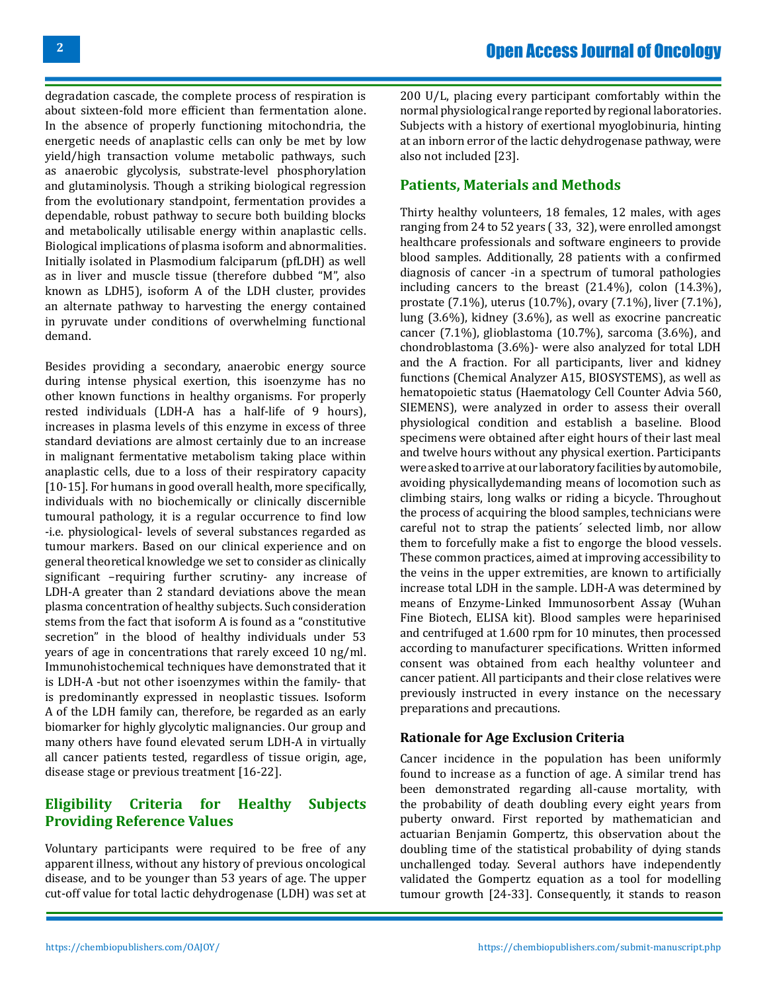degradation cascade, the complete process of respiration is about sixteen-fold more efficient than fermentation alone. In the absence of properly functioning mitochondria, the energetic needs of anaplastic cells can only be met by low yield/high transaction volume metabolic pathways, such as anaerobic glycolysis, substrate-level phosphorylation and glutaminolysis. Though a striking biological regression from the evolutionary standpoint, fermentation provides a dependable, robust pathway to secure both building blocks and metabolically utilisable energy within anaplastic cells. Biological implications of plasma isoform and abnormalities. Initially isolated in Plasmodium falciparum (pfLDH) as well as in liver and muscle tissue (therefore dubbed "M", also known as LDH5), isoform A of the LDH cluster, provides an alternate pathway to harvesting the energy contained in pyruvate under conditions of overwhelming functional demand.

Besides providing a secondary, anaerobic energy source during intense physical exertion, this isoenzyme has no other known functions in healthy organisms. For properly rested individuals (LDH-A has a half-life of 9 hours), increases in plasma levels of this enzyme in excess of three standard deviations are almost certainly due to an increase in malignant fermentative metabolism taking place within anaplastic cells, due to a loss of their respiratory capacity [10-15]. For humans in good overall health, more specifically, individuals with no biochemically or clinically discernible tumoural pathology, it is a regular occurrence to find low -i.e. physiological- levels of several substances regarded as tumour markers. Based on our clinical experience and on general theoretical knowledge we set to consider as clinically significant –requiring further scrutiny- any increase of LDH-A greater than 2 standard deviations above the mean plasma concentration of healthy subjects. Such consideration stems from the fact that isoform A is found as a "constitutive secretion" in the blood of healthy individuals under 53 years of age in concentrations that rarely exceed 10 ng/ml. Immunohistochemical techniques have demonstrated that it is LDH-A -but not other isoenzymes within the family- that is predominantly expressed in neoplastic tissues. Isoform A of the LDH family can, therefore, be regarded as an early biomarker for highly glycolytic malignancies. Our group and many others have found elevated serum LDH-A in virtually all cancer patients tested, regardless of tissue origin, age, disease stage or previous treatment [16-22].

### **Eligibility Criteria for Healthy Subjects Providing Reference Values**

Voluntary participants were required to be free of any apparent illness, without any history of previous oncological disease, and to be younger than 53 years of age. The upper cut-off value for total lactic dehydrogenase (LDH) was set at

200 U/L, placing every participant comfortably within the normal physiological range reported by regional laboratories. Subjects with a history of exertional myoglobinuria, hinting at an inborn error of the lactic dehydrogenase pathway, were also not included [23].

### **Patients, Materials and Methods**

Thirty healthy volunteers, 18 females, 12 males, with ages ranging from 24 to 52 years ( 33, 32), were enrolled amongst healthcare professionals and software engineers to provide blood samples. Additionally, 28 patients with a confirmed diagnosis of cancer -in a spectrum of tumoral pathologies including cancers to the breast (21.4%), colon (14.3%), prostate (7.1%), uterus (10.7%), ovary (7.1%), liver (7.1%), lung (3.6%), kidney (3.6%), as well as exocrine pancreatic cancer (7.1%), glioblastoma (10.7%), sarcoma (3.6%), and chondroblastoma (3.6%)- were also analyzed for total LDH and the A fraction. For all participants, liver and kidney functions (Chemical Analyzer A15, BIOSYSTEMS), as well as hematopoietic status (Haematology Cell Counter Advia 560, SIEMENS), were analyzed in order to assess their overall physiological condition and establish a baseline. Blood specimens were obtained after eight hours of their last meal and twelve hours without any physical exertion. Participants were asked to arrive at our laboratory facilities by automobile, avoiding physicallydemanding means of locomotion such as climbing stairs, long walks or riding a bicycle. Throughout the process of acquiring the blood samples, technicians were careful not to strap the patients´ selected limb, nor allow them to forcefully make a fist to engorge the blood vessels. These common practices, aimed at improving accessibility to the veins in the upper extremities, are known to artificially increase total LDH in the sample. LDH-A was determined by means of Enzyme-Linked Immunosorbent Assay (Wuhan Fine Biotech, ELISA kit). Blood samples were heparinised and centrifuged at 1.600 rpm for 10 minutes, then processed according to manufacturer specifications. Written informed consent was obtained from each healthy volunteer and cancer patient. All participants and their close relatives were previously instructed in every instance on the necessary preparations and precautions.

#### **Rationale for Age Exclusion Criteria**

Cancer incidence in the population has been uniformly found to increase as a function of age. A similar trend has been demonstrated regarding all-cause mortality, with the probability of death doubling every eight years from puberty onward. First reported by mathematician and actuarian Benjamin Gompertz, this observation about the doubling time of the statistical probability of dying stands unchallenged today. Several authors have independently validated the Gompertz equation as a tool for modelling tumour growth [24-33]. Consequently, it stands to reason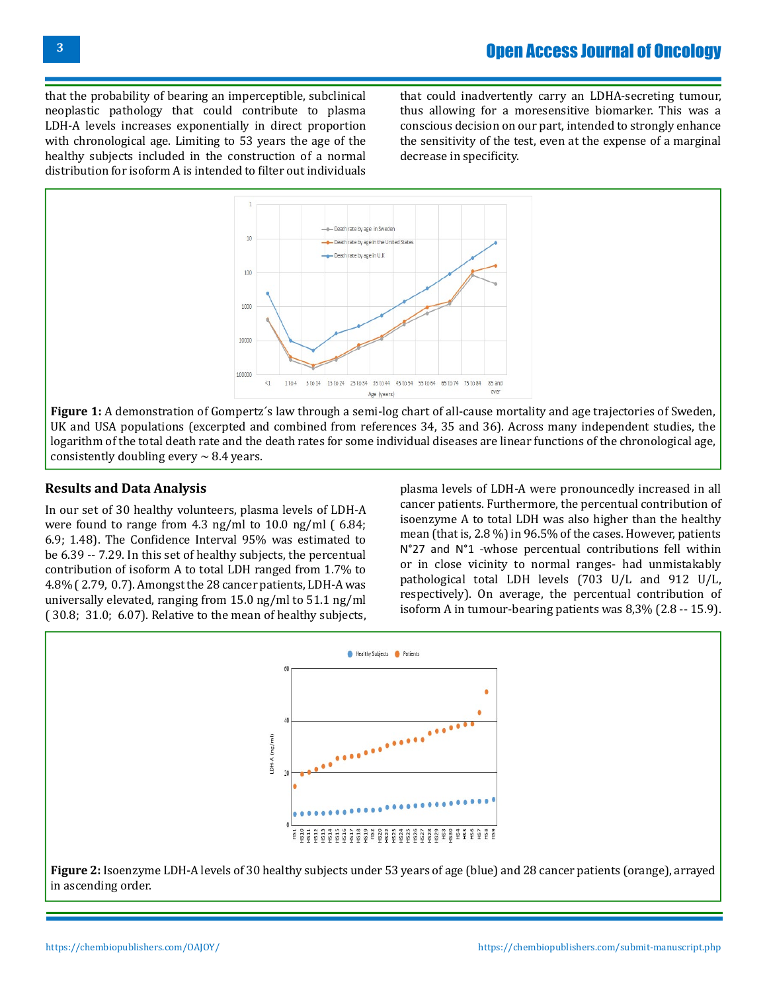that the probability of bearing an imperceptible, subclinical neoplastic pathology that could contribute to plasma LDH-A levels increases exponentially in direct proportion with chronological age. Limiting to 53 years the age of the healthy subjects included in the construction of a normal distribution for isoform A is intended to filter out individuals that could inadvertently carry an LDHA-secreting tumour, thus allowing for a moresensitive biomarker. This was a conscious decision on our part, intended to strongly enhance the sensitivity of the test, even at the expense of a marginal decrease in specificity.



**Figure 1:** A demonstration of Gompertz´s law through a semi-log chart of all-cause mortality and age trajectories of Sweden, UK and USA populations (excerpted and combined from references 34, 35 and 36). Across many independent studies, the logarithm of the total death rate and the death rates for some individual diseases are linear functions of the chronological age, consistently doubling every  $\sim$  8.4 years.

### **Results and Data Analysis**

In our set of 30 healthy volunteers, plasma levels of LDH-A were found to range from 4.3 ng/ml to 10.0 ng/ml ( 6.84; 6.9; 1.48). The Confidence Interval 95% was estimated to be 6.39 -- 7.29. In this set of healthy subjects, the percentual contribution of isoform A to total LDH ranged from 1.7% to 4.8% ( 2.79, 0.7). Amongst the 28 cancer patients, LDH-A was universally elevated, ranging from 15.0 ng/ml to 51.1 ng/ml ( 30.8; 31.0; 6.07). Relative to the mean of healthy subjects,

plasma levels of LDH-A were pronouncedly increased in all cancer patients. Furthermore, the percentual contribution of isoenzyme A to total LDH was also higher than the healthy mean (that is, 2.8 %) in 96.5% of the cases. However, patients N°27 and N°1 -whose percentual contributions fell within or in close vicinity to normal ranges- had unmistakably pathological total LDH levels (703 U/L and 912 U/L, respectively). On average, the percentual contribution of isoform A in tumour-bearing patients was 8,3% (2.8 -- 15.9).

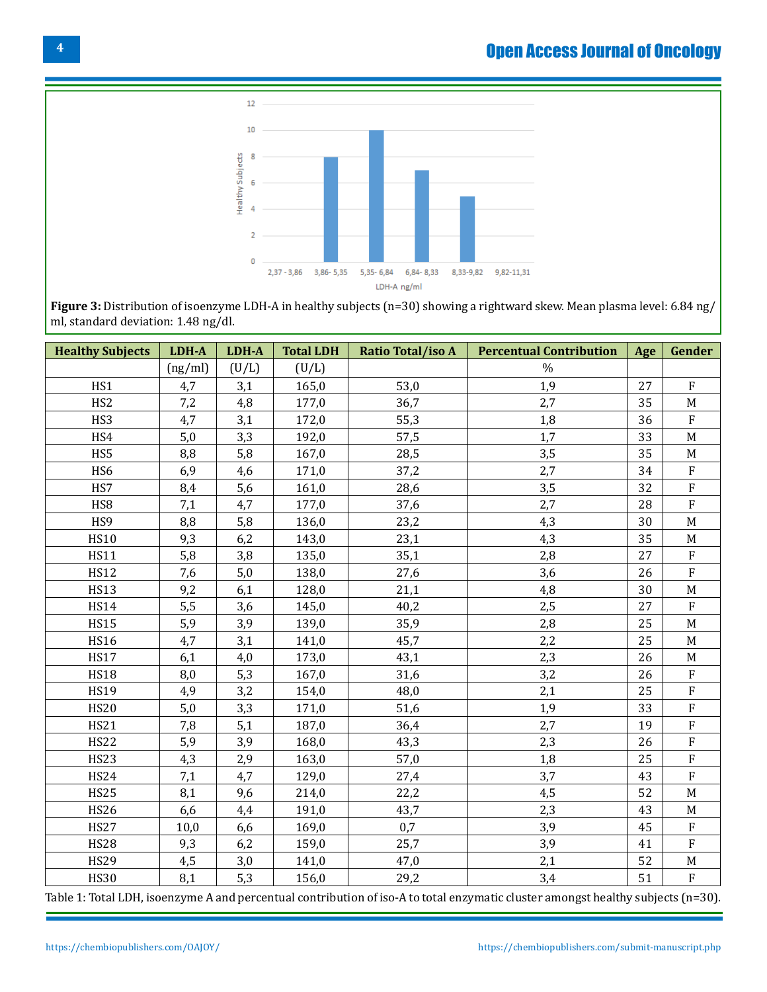## Open Access Journal of Oncology



**Figure 3:** Distribution of isoenzyme LDH-A in healthy subjects (n=30) showing a rightward skew. Mean plasma level: 6.84 ng/ ml, standard deviation: 1.48 ng/dl.

| <b>Healthy Subjects</b> | LDH-A   | LDH-A | <b>Total LDH</b> | <b>Ratio Total/iso A</b> | <b>Percentual Contribution</b> | Age | Gender       |
|-------------------------|---------|-------|------------------|--------------------------|--------------------------------|-----|--------------|
|                         | (ng/ml) | (U/L) | (U/L)            |                          | $\%$                           |     |              |
| HS1                     | 4,7     | 3,1   | 165,0            | 53,0                     | 1,9                            | 27  | $\mathbf{F}$ |
| HS <sub>2</sub>         | 7,2     | 4,8   | 177,0            | 36,7                     | 2,7                            | 35  | $\mathbf M$  |
| HS3                     | 4,7     | 3,1   | 172,0            | 55,3                     | 1,8                            | 36  | $\rm F$      |
| HS4                     | 5,0     | 3,3   | 192,0            | 57,5                     | 1,7                            | 33  | M            |
| HS5                     | 8,8     | 5,8   | 167,0            | 28,5                     | 3,5                            | 35  | $\mathbf M$  |
| HS <sub>6</sub>         | 6,9     | 4,6   | 171,0            | 37,2                     | 2,7                            | 34  | ${\bf F}$    |
| HS7                     | 8,4     | 5,6   | 161,0            | 28,6                     | 3,5                            | 32  | ${\bf F}$    |
| HS8                     | 7,1     | 4,7   | 177,0            | 37,6                     | 2,7                            | 28  | ${\bf F}$    |
| HS9                     | 8,8     | 5,8   | 136,0            | 23,2                     | 4,3                            | 30  | M            |
| <b>HS10</b>             | 9,3     | 6,2   | 143,0            | 23,1                     | 4,3                            | 35  | $\mathbf M$  |
| <b>HS11</b>             | 5,8     | 3,8   | 135,0            | 35,1                     | 2,8                            | 27  | ${\bf F}$    |
| <b>HS12</b>             | 7,6     | 5,0   | 138,0            | 27,6                     | 3,6                            | 26  | ${\bf F}$    |
| <b>HS13</b>             | 9,2     | 6,1   | 128,0            | 21,1                     | 4,8                            | 30  | $\mathbf M$  |
| <b>HS14</b>             | 5,5     | 3,6   | 145,0            | 40,2                     | 2,5                            | 27  | ${\bf F}$    |
| <b>HS15</b>             | 5,9     | 3,9   | 139,0            | 35,9                     | 2,8                            | 25  | $\mathbf M$  |
| <b>HS16</b>             | 4,7     | 3,1   | 141,0            | 45,7                     | 2,2                            | 25  | $\mathbf M$  |
| <b>HS17</b>             | 6,1     | 4,0   | 173,0            | 43,1                     | 2,3                            | 26  | M            |
| <b>HS18</b>             | 8,0     | 5,3   | 167,0            | 31,6                     | 3,2                            | 26  | ${\bf F}$    |
| <b>HS19</b>             | 4,9     | 3,2   | 154,0            | 48,0                     | 2,1                            | 25  | $\rm F$      |
| <b>HS20</b>             | 5,0     | 3,3   | 171,0            | 51,6                     | 1,9                            | 33  | ${\bf F}$    |
| <b>HS21</b>             | 7,8     | 5,1   | 187,0            | 36,4                     | 2,7                            | 19  | ${\bf F}$    |
| <b>HS22</b>             | 5,9     | 3,9   | 168,0            | 43,3                     | 2,3                            | 26  | ${\bf F}$    |
| <b>HS23</b>             | 4,3     | 2,9   | 163,0            | 57,0                     | 1,8                            | 25  | ${\bf F}$    |
| <b>HS24</b>             | 7,1     | 4,7   | 129,0            | 27,4                     | 3,7                            | 43  | ${\bf F}$    |
| <b>HS25</b>             | 8,1     | 9,6   | 214,0            | 22,2                     | 4,5                            | 52  | $\mathbf M$  |
| <b>HS26</b>             | 6,6     | 4,4   | 191,0            | 43,7                     | 2,3                            | 43  | $\mathbf M$  |
| <b>HS27</b>             | 10,0    | 6,6   | 169,0            | 0,7                      | 3,9                            | 45  | ${\bf F}$    |
| <b>HS28</b>             | 9,3     | 6,2   | 159,0            | 25,7                     | 3,9                            | 41  | ${\bf F}$    |
| <b>HS29</b>             | 4,5     | 3,0   | 141,0            | 47,0                     | 2,1                            | 52  | $\mathbf M$  |
| <b>HS30</b>             | 8,1     | 5,3   | 156,0            | 29,2                     | 3,4                            | 51  | $\rm F$      |

Table 1: Total LDH, isoenzyme A and percentual contribution of iso-A to total enzymatic cluster amongst healthy subjects (n=30).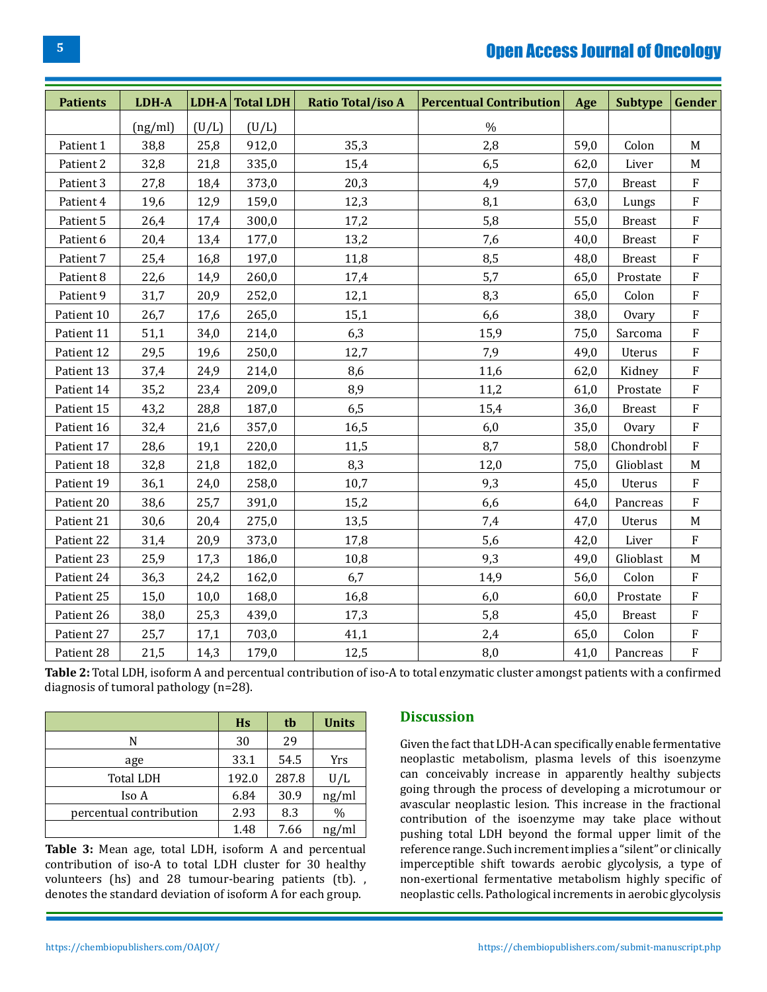### Open Access Journal of Oncology

| <b>Patients</b> | LDH-A   |       | $LDH-A$ Total $LDH$ | <b>Ratio Total/iso A</b> | <b>Percentual Contribution</b> | Age  | <b>Subtype</b> | Gender                    |
|-----------------|---------|-------|---------------------|--------------------------|--------------------------------|------|----------------|---------------------------|
|                 | (ng/ml) | (U/L) | (U/L)               |                          | $\%$                           |      |                |                           |
| Patient 1       | 38,8    | 25,8  | 912,0               | 35,3                     | 2,8                            | 59,0 | Colon          | $\mathbf M$               |
| Patient 2       | 32,8    | 21,8  | 335,0               | 15,4                     | 6,5                            | 62,0 | Liver          | $\mathbf M$               |
| Patient 3       | 27,8    | 18,4  | 373,0               | 20,3                     | 4,9                            | 57,0 | <b>Breast</b>  | ${\bf F}$                 |
| Patient 4       | 19,6    | 12,9  | 159,0               | 12,3                     | 8,1                            | 63,0 | Lungs          | $\mathbf F$               |
| Patient 5       | 26,4    | 17,4  | 300,0               | 17,2                     | 5,8                            | 55,0 | <b>Breast</b>  | ${\bf F}$                 |
| Patient 6       | 20,4    | 13,4  | 177,0               | 13,2                     | 7,6                            | 40,0 | <b>Breast</b>  | ${\bf F}$                 |
| Patient 7       | 25,4    | 16,8  | 197,0               | 11,8                     | 8,5                            | 48,0 | <b>Breast</b>  | $\rm F$                   |
| Patient 8       | 22,6    | 14,9  | 260,0               | 17,4                     | 5,7                            | 65,0 | Prostate       | ${\bf F}$                 |
| Patient 9       | 31,7    | 20,9  | 252,0               | 12,1                     | 8,3                            | 65,0 | Colon          | ${\bf F}$                 |
| Patient 10      | 26,7    | 17,6  | 265,0               | 15,1                     | 6,6                            | 38,0 | Ovary          | ${\bf F}$                 |
| Patient 11      | 51,1    | 34,0  | 214,0               | 6,3                      | 15,9                           | 75,0 | Sarcoma        | ${\bf F}$                 |
| Patient 12      | 29,5    | 19,6  | 250,0               | 12,7                     | 7,9                            | 49,0 | Uterus         | ${\bf F}$                 |
| Patient 13      | 37,4    | 24,9  | 214,0               | 8,6                      | 11,6                           | 62,0 | Kidney         | $\boldsymbol{\mathrm{F}}$ |
| Patient 14      | 35,2    | 23,4  | 209,0               | 8,9                      | 11,2                           | 61,0 | Prostate       | $\rm F$                   |
| Patient 15      | 43,2    | 28,8  | 187,0               | 6,5                      | 15,4                           | 36,0 | <b>Breast</b>  | ${\bf F}$                 |
| Patient 16      | 32,4    | 21,6  | 357,0               | 16,5                     | 6,0                            | 35,0 | Ovary          | $\rm F$                   |
| Patient 17      | 28,6    | 19,1  | 220,0               | 11,5                     | 8,7                            | 58,0 | Chondrobl      | $\rm F$                   |
| Patient 18      | 32,8    | 21,8  | 182,0               | 8,3                      | 12,0                           | 75,0 | Glioblast      | M                         |
| Patient 19      | 36,1    | 24,0  | 258,0               | 10,7                     | 9,3                            | 45,0 | Uterus         | $\rm F$                   |
| Patient 20      | 38,6    | 25,7  | 391,0               | 15,2                     | 6,6                            | 64,0 | Pancreas       | $\rm F$                   |
| Patient 21      | 30,6    | 20,4  | 275,0               | 13,5                     | 7,4                            | 47,0 | Uterus         | $\mathbf M$               |
| Patient 22      | 31,4    | 20,9  | 373,0               | 17,8                     | 5,6                            | 42,0 | Liver          | ${\bf F}$                 |
| Patient 23      | 25,9    | 17,3  | 186,0               | 10,8                     | 9,3                            | 49,0 | Glioblast      | M                         |
| Patient 24      | 36,3    | 24,2  | 162,0               | 6,7                      | 14,9                           | 56,0 | Colon          | $\rm F$                   |
| Patient 25      | 15,0    | 10,0  | 168,0               | 16,8                     | 6,0                            | 60,0 | Prostate       | $\rm F$                   |
| Patient 26      | 38,0    | 25,3  | 439,0               | 17,3                     | 5,8                            | 45,0 | <b>Breast</b>  | $\rm F$                   |
| Patient 27      | 25,7    | 17,1  | 703,0               | 41,1                     | 2,4                            | 65,0 | Colon          | ${\bf F}$                 |
| Patient 28      | 21,5    | 14,3  | 179,0               | 12,5                     | 8,0                            | 41,0 | Pancreas       | $\rm F$                   |

**Table 2:** Total LDH, isoform A and percentual contribution of iso-A to total enzymatic cluster amongst patients with a confirmed diagnosis of tumoral pathology (n=28).

|                         | <b>H<sub>s</sub></b> | tb    | <b>Units</b> |
|-------------------------|----------------------|-------|--------------|
| N                       | 30                   | 29    |              |
| age                     | 33.1                 | 54.5  | Yrs          |
| <b>Total LDH</b>        | 192.0                | 287.8 | U/L          |
| Iso A                   | 6.84                 | 30.9  | ng/ml        |
| percentual contribution | 2.93                 | 8.3   | $\%$         |
|                         | 1.48                 | 7.66  | ng/ml        |

**Table 3:** Mean age, total LDH, isoform A and percentual contribution of iso-A to total LDH cluster for 30 healthy volunteers (hs) and 28 tumour-bearing patients (tb). , denotes the standard deviation of isoform A for each group.

### **Discussion**

Given the fact that LDH-A can specifically enable fermentative neoplastic metabolism, plasma levels of this isoenzyme can conceivably increase in apparently healthy subjects going through the process of developing a microtumour or avascular neoplastic lesion. This increase in the fractional contribution of the isoenzyme may take place without pushing total LDH beyond the formal upper limit of the reference range. Such increment implies a "silent" or clinically imperceptible shift towards aerobic glycolysis, a type of non-exertional fermentative metabolism highly specific of neoplastic cells. Pathological increments in aerobic glycolysis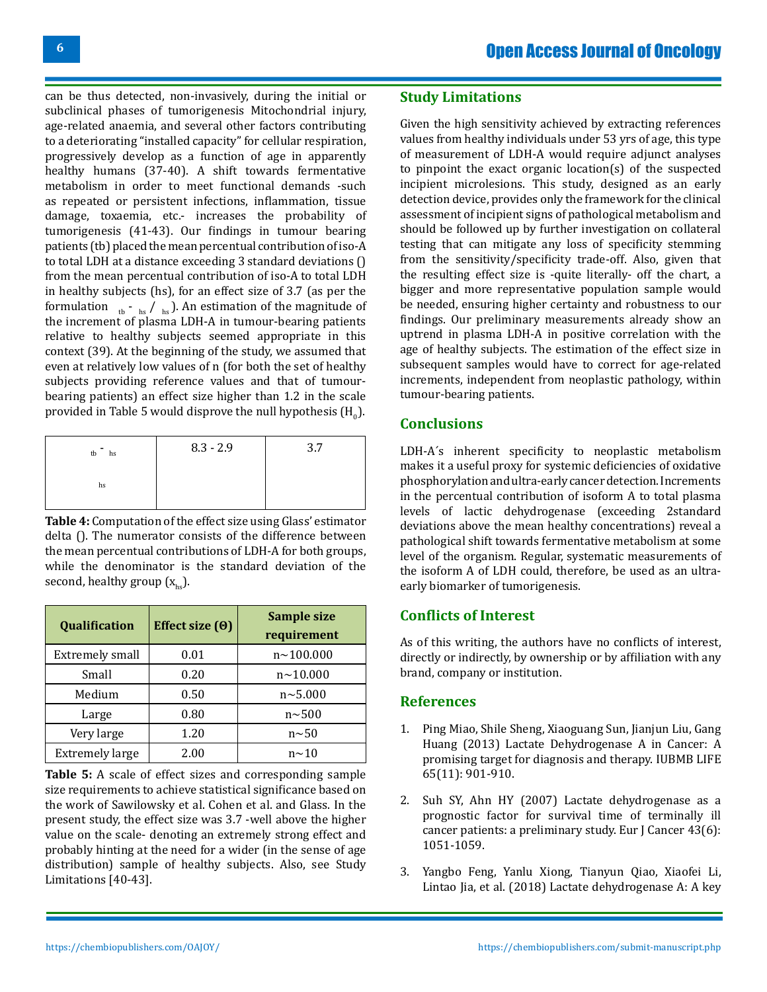can be thus detected, non-invasively, during the initial or subclinical phases of tumorigenesis Mitochondrial injury, age-related anaemia, and several other factors contributing to a deteriorating "installed capacity" for cellular respiration, progressively develop as a function of age in apparently healthy humans (37-40). A shift towards fermentative metabolism in order to meet functional demands -such as repeated or persistent infections, inflammation, tissue damage, toxaemia, etc.- increases the probability of tumorigenesis (41-43). Our findings in tumour bearing patients (tb) placed the mean percentual contribution of iso-A to total LDH at a distance exceeding 3 standard deviations () from the mean percentual contribution of iso-A to total LDH in healthy subjects (hs), for an effect size of 3.7 (as per the formulation  $\theta_{\text{th}}$  -  $\theta_{\text{hs}}$  ). An estimation of the magnitude of the increment of plasma LDH-A in tumour-bearing patients relative to healthy subjects seemed appropriate in this context (39). At the beginning of the study, we assumed that even at relatively low values of n (for both the set of healthy subjects providing reference values and that of tumourbearing patients) an effect size higher than 1.2 in the scale provided in Table 5 would disprove the null hypothesis (H $_{\rm o}$ ).

| tb<br>hs | $8.3 - 2.9$ | 3.7 |
|----------|-------------|-----|
| hs       |             |     |

**Table 4:** Computation of the effect size using Glass' estimator delta (). The numerator consists of the difference between the mean percentual contributions of LDH-A for both groups, while the denominator is the standard deviation of the second, healthy group  $(x<sub>ho</sub>)$ .

| Qualification          | Effect size $(0)$ | <b>Sample size</b><br>requirement |
|------------------------|-------------------|-----------------------------------|
| <b>Extremely small</b> | 0.01              | $n \sim 100.000$                  |
| Small                  | 0.20              | $n \sim 10.000$                   |
| Medium                 | 0.50              | $n \sim 5.000$                    |
| Large                  | 0.80              | $n \sim 500$                      |
| Very large             | 1.20              | $n$ $\sim$ 50                     |
| <b>Extremely large</b> | 2.00              | $n \sim 10$                       |

**Table 5:** A scale of effect sizes and corresponding sample size requirements to achieve statistical significance based on the work of Sawilowsky et al. Cohen et al. and Glass. In the present study, the effect size was 3.7 -well above the higher value on the scale- denoting an extremely strong effect and probably hinting at the need for a wider (in the sense of age distribution) sample of healthy subjects. Also, see Study Limitations [40-43].

### **Study Limitations**

Given the high sensitivity achieved by extracting references values from healthy individuals under 53 yrs of age, this type of measurement of LDH-A would require adjunct analyses to pinpoint the exact organic location(s) of the suspected incipient microlesions. This study, designed as an early detection device, provides only the framework for the clinical assessment of incipient signs of pathological metabolism and should be followed up by further investigation on collateral testing that can mitigate any loss of specificity stemming from the sensitivity/specificity trade-off. Also, given that the resulting effect size is -quite literally- off the chart, a bigger and more representative population sample would be needed, ensuring higher certainty and robustness to our findings. Our preliminary measurements already show an uptrend in plasma LDH-A in positive correlation with the age of healthy subjects. The estimation of the effect size in subsequent samples would have to correct for age-related increments, independent from neoplastic pathology, within tumour-bearing patients.

### **Conclusions**

LDH-A´s inherent specificity to neoplastic metabolism makes it a useful proxy for systemic deficiencies of oxidative phosphorylation and ultra-early cancer detection. Increments in the percentual contribution of isoform A to total plasma levels of lactic dehydrogenase (exceeding 2standard deviations above the mean healthy concentrations) reveal a pathological shift towards fermentative metabolism at some level of the organism. Regular, systematic measurements of the isoform A of LDH could, therefore, be used as an ultraearly biomarker of tumorigenesis.

### **Conflicts of Interest**

As of this writing, the authors have no conflicts of interest, directly or indirectly, by ownership or by affiliation with any brand, company or institution.

### **References**

- 1. [Ping Miao, Shile Sheng, Xiaoguang Sun, Jianjun Liu, Gang](https://iubmb.onlinelibrary.wiley.com/action/doSearch?ContribAuthorStored=Huang%2C+Gang)  [Huang \(2013\) Lactate Dehydrogenase A in Cancer: A](https://iubmb.onlinelibrary.wiley.com/action/doSearch?ContribAuthorStored=Huang%2C+Gang)  [promising target for diagnosis and therapy. IUBMB LIFE](https://iubmb.onlinelibrary.wiley.com/action/doSearch?ContribAuthorStored=Huang%2C+Gang) [65\(11\): 901-910.](https://iubmb.onlinelibrary.wiley.com/action/doSearch?ContribAuthorStored=Huang%2C+Gang)
- 2. Suh SY, Ahn HY (2007) Lactate dehydrogenase as a prognostic factor for survival time of terminally ill cancer patients: a preliminary study. Eur J Cancer 43(6): 1051-1059.
- 3. [Yangbo Feng, Yanlu Xiong, Tianyun Qiao, Xiaofei Li,](https://pubmed.ncbi.nlm.nih.gov/30403008/) [Lintao Jia, et al. \(2018\) Lactate dehydrogenase A: A key](https://pubmed.ncbi.nlm.nih.gov/30403008/)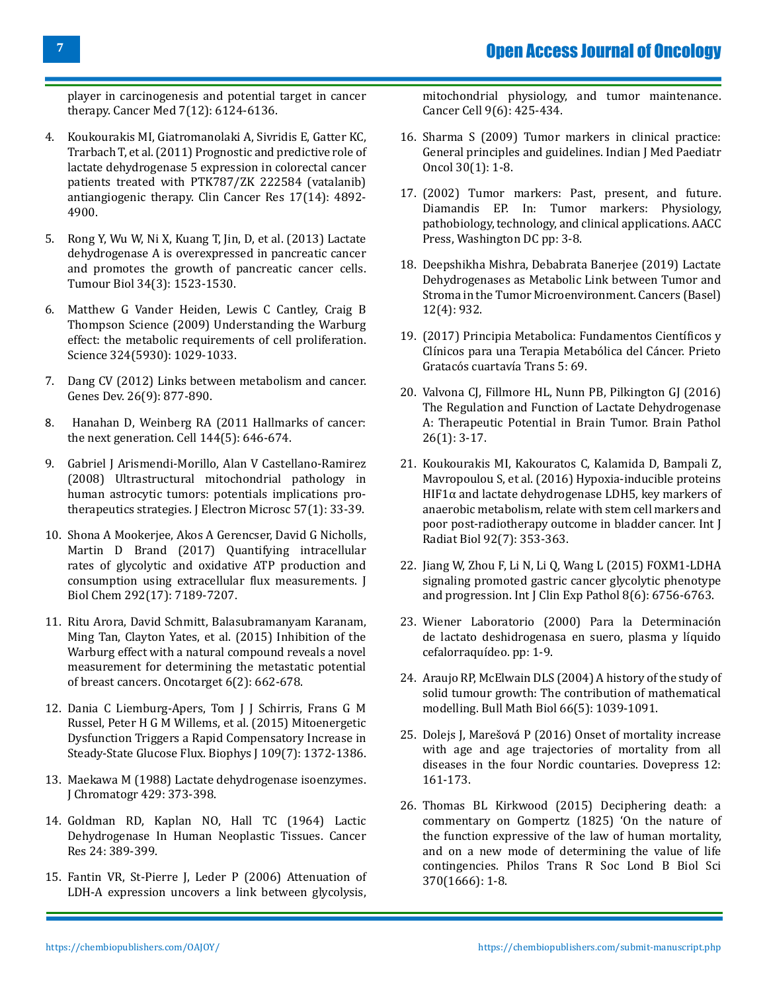**7**

[player in carcinogenesis and potential target in cancer](https://pubmed.ncbi.nlm.nih.gov/30403008/) [therapy. Cancer Med 7\(12\): 6124-6136.](https://pubmed.ncbi.nlm.nih.gov/30403008/)

- 4. [Koukourakis MI, Giatromanolaki A, Sivridis E, Gatter KC,](https://pubmed.ncbi.nlm.nih.gov/21632858/) [Trarbach T, et al. \(2011\) Prognostic and predictive role of](https://pubmed.ncbi.nlm.nih.gov/21632858/) [lactate dehydrogenase 5 expression in colorectal cancer](https://pubmed.ncbi.nlm.nih.gov/21632858/) [patients treated with PTK787/ZK 222584 \(vatalanib\)](https://pubmed.ncbi.nlm.nih.gov/21632858/) [antiangiogenic therapy. Clin Cancer Res 17\(14\): 4892-](https://pubmed.ncbi.nlm.nih.gov/21632858/) [4900.](https://pubmed.ncbi.nlm.nih.gov/21632858/)
- 5. [Rong Y, Wu W, Ni X, Kuang T, Jin, D, et al. \(2013\) Lactate](https://pubmed.ncbi.nlm.nih.gov/23404405/) [dehydrogenase A is overexpressed in pancreatic cancer](https://pubmed.ncbi.nlm.nih.gov/23404405/) [and promotes the growth of pancreatic cancer cells.](https://pubmed.ncbi.nlm.nih.gov/23404405/) [Tumour Biol 34\(3\): 1523-1530.](https://pubmed.ncbi.nlm.nih.gov/23404405/)
- 6. [Matthew G Vander Heiden, Lewis C Cantley, Craig B](https://pubmed.ncbi.nlm.nih.gov/19460998/) [Thompson Science \(2009\) Understanding the Warburg](https://pubmed.ncbi.nlm.nih.gov/19460998/) [effect: the metabolic requirements of cell proliferation.](https://pubmed.ncbi.nlm.nih.gov/19460998/) [Science 324\(5930\): 1029-1033.](https://pubmed.ncbi.nlm.nih.gov/19460998/)
- 7. [Dang CV \(2012\) Links between metabolism and cancer.](https://pubmed.ncbi.nlm.nih.gov/22549953/) [Genes Dev. 26\(9\): 877-890.](https://pubmed.ncbi.nlm.nih.gov/22549953/)
- 8. [Hanahan D, Weinberg RA \(2011 Hallmarks of cancer:](https://pubmed.ncbi.nlm.nih.gov/21376230/) [the next generation. Cell 144\(5\): 646-674.](https://pubmed.ncbi.nlm.nih.gov/21376230/)
- 9. [Gabriel J Arismendi-Morillo, Alan V Castellano-Ramirez](https://pubmed.ncbi.nlm.nih.gov/18230641/) [\(2008\) Ultrastructural mitochondrial pathology in](https://pubmed.ncbi.nlm.nih.gov/18230641/) [human astrocytic tumors: potentials implications pro](https://pubmed.ncbi.nlm.nih.gov/18230641/)[therapeutics strategies. J Electron Microsc 57\(1\): 33-39.](https://pubmed.ncbi.nlm.nih.gov/18230641/)
- 10. [Shona A Mookerjee, Akos A Gerencser, David G Nicholls,](https://pubmed.ncbi.nlm.nih.gov/28270511/) [Martin D Brand \(2017\) Quantifying intracellular](https://pubmed.ncbi.nlm.nih.gov/28270511/) [rates of glycolytic and oxidative ATP production and](https://pubmed.ncbi.nlm.nih.gov/28270511/) [consumption using extracellular flux measurements. J](https://pubmed.ncbi.nlm.nih.gov/28270511/) [Biol Chem 292\(17\): 7189-7207.](https://pubmed.ncbi.nlm.nih.gov/28270511/)
- 11. [Ritu Arora, David Schmitt, Balasubramanyam Karanam,](https://pubmed.ncbi.nlm.nih.gov/25575825/) [Ming Tan, Clayton Yates, et al. \(2015\) Inhibition of the](https://pubmed.ncbi.nlm.nih.gov/25575825/) [Warburg effect with a natural compound reveals a novel](https://pubmed.ncbi.nlm.nih.gov/25575825/) [measurement for determining the metastatic potential](https://pubmed.ncbi.nlm.nih.gov/25575825/) [of breast cancers. Oncotarget 6\(2\): 662-678.](https://pubmed.ncbi.nlm.nih.gov/25575825/)
- 12. [Dania C Liemburg-Apers, Tom J J Schirris, Frans G M](https://pubmed.ncbi.nlm.nih.gov/26445438/) [Russel, Peter H G M Willems, et al. \(2015\) Mitoenergetic](https://pubmed.ncbi.nlm.nih.gov/26445438/) [Dysfunction Triggers a Rapid Compensatory Increase in](https://pubmed.ncbi.nlm.nih.gov/26445438/) [Steady-State Glucose Flux. Biophys J 109\(7\): 1372-1386.](https://pubmed.ncbi.nlm.nih.gov/26445438/)
- 13. [Maekawa M \(1988\) Lactate dehydrogenase isoenzymes.](https://www.sciencedirect.com/science/article/abs/pii/S0378434700838797) [J Chromatogr 429: 373-398.](https://www.sciencedirect.com/science/article/abs/pii/S0378434700838797)
- 14. [Goldman RD, Kaplan NO, Hall TC \(1964\) Lactic](https://pubmed.ncbi.nlm.nih.gov/14147812/) [Dehydrogenase In Human Neoplastic Tissues. Cancer](https://pubmed.ncbi.nlm.nih.gov/14147812/) [Res 24: 389-399.](https://pubmed.ncbi.nlm.nih.gov/14147812/)
- 15. [Fantin VR, St-Pierre J, Leder P \(2006\) Attenuation of](https://pubmed.ncbi.nlm.nih.gov/16766262/) [LDH-A expression uncovers a link between glycolysis,](https://pubmed.ncbi.nlm.nih.gov/16766262/)

[mitochondrial physiology, and tumor maintenance.](https://pubmed.ncbi.nlm.nih.gov/16766262/)  [Cancer Cell 9\(6\): 425-434.](https://pubmed.ncbi.nlm.nih.gov/16766262/)

- 16. [Sharma S \(2009\) Tumor markers in clinical practice:](http://www.ijmpo.org/article.asp?issn=0971-5851;year=2009;volume=30;issue=1;spage=1;epage=8;aulast=Sharma) [General principles and guidelines. Indian J Med Paediatr](http://www.ijmpo.org/article.asp?issn=0971-5851;year=2009;volume=30;issue=1;spage=1;epage=8;aulast=Sharma) [Oncol 30\(1\): 1-8.](http://www.ijmpo.org/article.asp?issn=0971-5851;year=2009;volume=30;issue=1;spage=1;epage=8;aulast=Sharma)
- 17. (2002) Tumor markers: Past, present, and future. Diamandis EP. In: Tumor markers: Physiology, pathobiology, technology, and clinical applications. AACC Press, Washington DC pp: 3-8.
- 18. [Deepshikha Mishra, Debabrata Banerjee \(2019\) Lactate](https://www.mdpi.com/2072-6694/11/6/750)  [Dehydrogenases as Metabolic Link between Tumor and](https://www.mdpi.com/2072-6694/11/6/750) [Stroma in the Tumor Microenvironment. Cancers \(Basel\)](https://www.mdpi.com/2072-6694/11/6/750) [12\(4\): 932.](https://www.mdpi.com/2072-6694/11/6/750)
- 19. (2017) Principia Metabolica: Fundamentos Científicos y Clínicos para una Terapia Metabólica del Cáncer. Prieto Gratacós cuartavía Trans 5: 69.
- 20. [Valvona CJ, Fillmore HL, Nunn PB, Pilkington GJ \(2016\)](https://pubmed.ncbi.nlm.nih.gov/26269128/) [The Regulation and Function of Lactate Dehydrogenase](https://pubmed.ncbi.nlm.nih.gov/26269128/) [A: Therapeutic Potential in Brain Tumor. Brain Pathol](https://pubmed.ncbi.nlm.nih.gov/26269128/)  [26\(1\): 3-17.](https://pubmed.ncbi.nlm.nih.gov/26269128/)
- 21. [Koukourakis MI, Kakouratos C, Kalamida D, Bampali Z,](https://pubmed.ncbi.nlm.nih.gov/27010533/)  [Mavropoulou S, et al. \(2016\) Hypoxia-inducible proteins](https://pubmed.ncbi.nlm.nih.gov/27010533/)  [HIF1α and lactate dehydrogenase LDH5, key markers of](https://pubmed.ncbi.nlm.nih.gov/27010533/) [anaerobic metabolism, relate with stem cell markers and](https://pubmed.ncbi.nlm.nih.gov/27010533/)  [poor post-radiotherapy outcome in bladder cancer. Int J](https://pubmed.ncbi.nlm.nih.gov/27010533/) [Radiat Biol 92\(7\): 353-363.](https://pubmed.ncbi.nlm.nih.gov/27010533/)
- 22. [Jiang W, Zhou F, Li N, Li Q, Wang L \(2015\) FOXM1-LDHA](https://europepmc.org/article/pmc/pmc4525893) [signaling promoted gastric cancer glycolytic phenotype](https://europepmc.org/article/pmc/pmc4525893)  [and progression. Int J Clin Exp Pathol 8\(6\): 6756-6763.](https://europepmc.org/article/pmc/pmc4525893)
- 23. [Wiener Laboratorio \(2000\) Para la Determinación](https://www.wiener-lab.com.ar/VademecumDocumentos/Vademecum%20espanol/ldh_l_sp.pdf) [de lactato deshidrogenasa en suero, plasma y líquido](https://www.wiener-lab.com.ar/VademecumDocumentos/Vademecum%20espanol/ldh_l_sp.pdf)  [cefalorraquídeo. pp: 1-9.](https://www.wiener-lab.com.ar/VademecumDocumentos/Vademecum%20espanol/ldh_l_sp.pdf)
- 24. [Araujo RP, McElwain DLS \(2004\) A history of the study of](https://pubmed.ncbi.nlm.nih.gov/15294418/)  [solid tumour growth: The contribution of mathematical](https://pubmed.ncbi.nlm.nih.gov/15294418/)  [modelling. Bull Math Biol 66\(5\): 1039-1091.](https://pubmed.ncbi.nlm.nih.gov/15294418/)
- 25. [Dolejs J, Marešová P \(2016\) Onset of mortality increase](https://www.dovepress.com/onset-of-mortality-increase-with-age-and-age-trajectories-of-mortality-peer-reviewed-fulltext-article-CIA)  [with age and age trajectories of mortality from all](https://www.dovepress.com/onset-of-mortality-increase-with-age-and-age-trajectories-of-mortality-peer-reviewed-fulltext-article-CIA)  [diseases in the four Nordic countaries. Dovepress 12:](https://www.dovepress.com/onset-of-mortality-increase-with-age-and-age-trajectories-of-mortality-peer-reviewed-fulltext-article-CIA) [161-173.](https://www.dovepress.com/onset-of-mortality-increase-with-age-and-age-trajectories-of-mortality-peer-reviewed-fulltext-article-CIA)
- 26. [Thomas BL Kirkwood \(2015\) Deciphering death: a](https://royalsocietypublishing.org/doi/full/10.1098/rstb.2014.0379)  [commentary on Gompertz \(1825\) 'On the nature of](https://royalsocietypublishing.org/doi/full/10.1098/rstb.2014.0379) [the function expressive of the law of human mortality,](https://royalsocietypublishing.org/doi/full/10.1098/rstb.2014.0379)  [and on a new mode of determining the value of life](https://royalsocietypublishing.org/doi/full/10.1098/rstb.2014.0379) [contingencies. Philos Trans R Soc Lond B Biol Sci](https://royalsocietypublishing.org/doi/full/10.1098/rstb.2014.0379) [370\(1666\): 1-8.](https://royalsocietypublishing.org/doi/full/10.1098/rstb.2014.0379)